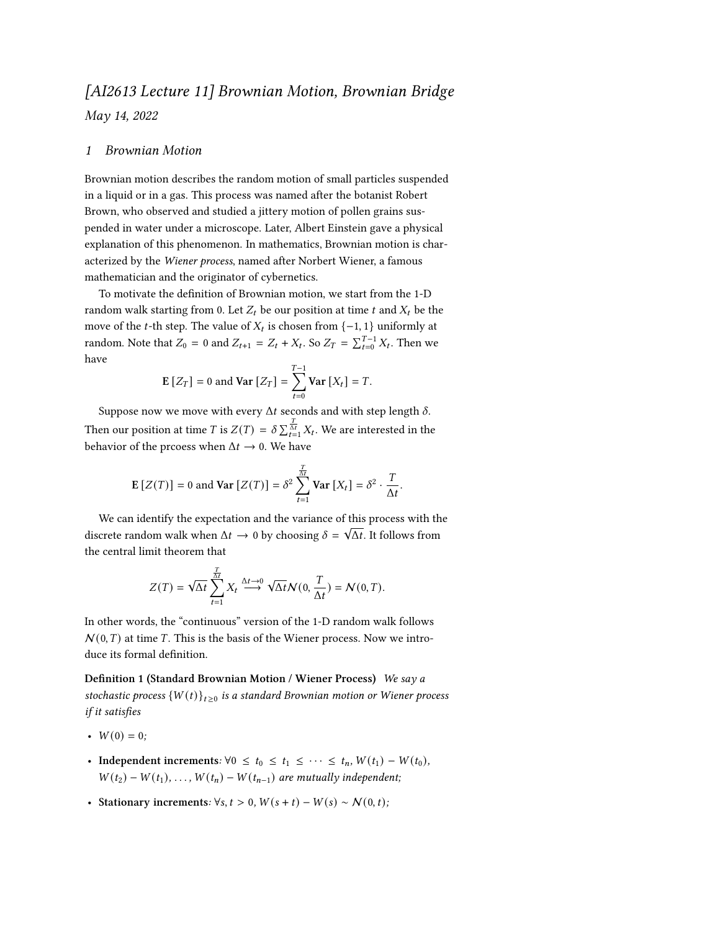## *[AI2613 Lecture 11] Brownian Motion, Brownian Bridge May 14, 2022*

## *1 Brownian Motion*

Brownian motion describes the random motion of small particles suspended in a liquid or in a gas. This process was named after the botanist Robert Brown, who observed and studied a jittery motion of pollen grains suspended in water under a microscope. Later, Albert Einstein gave a physical explanation of this phenomenon. In mathematics, Brownian motion is characterized by the *Wiener process*, named after Norbert Wiener, a famous mathematician and the originator of cybernetics.

To motivate the definition of Brownian motion, we start from the 1-D random walk starting from 0. Let  $Z_t$  be our position at time t and  $X_t$  be the move of the *t*-th step. The value of  $X_t$  is chosen from  $\{-1, 1\}$  uniformly at random. Note that  $Z_0 = 0$  and  $Z_{t+1} = Z_t + X_t$ . So  $Z_T = \sum_{t=0}^{T-1} X_t$ . Then we have

$$
\mathbf{E}\left[Z_T\right] = 0 \text{ and } \mathbf{Var}\left[Z_T\right] = \sum_{t=0}^{T-1} \mathbf{Var}\left[X_t\right] = T.
$$

Suppose now we move with every  $\Delta t$  seconds and with step length  $\delta$ . Then our position at time  $T$  is  $Z(T) = \delta \sum_{t=1}^{\frac{T}{\Delta t}} X_t$ . We are interested in the behavior of the prcoess when  $\Delta t \rightarrow 0$ . We have

$$
\mathbf{E}\left[Z(T)\right] = 0 \text{ and } \mathbf{Var}\left[Z(T)\right] = \delta^2 \sum_{t=1}^{\frac{T}{\Delta t}} \mathbf{Var}\left[X_t\right] = \delta^2 \cdot \frac{T}{\Delta t}.
$$

We can identify the expectation and the variance of this process with the we can definity the expectation and the variance of this process with the discrete random walk when  $\Delta t \rightarrow 0$  by choosing  $\delta = \sqrt{\Delta t}$ . It follows from the central limit theorem that

<span id="page-0-0"></span>
$$
Z(T) = \sqrt{\Delta t} \sum_{t=1}^{\frac{T}{\Delta t}} X_t \stackrel{\Delta t \to 0}{\longrightarrow} \sqrt{\Delta t} \mathcal{N}(0, \frac{T}{\Delta t}) = \mathcal{N}(0, T).
$$

In other words, the "continuous" version of the 1-D random walk follows  $N(0,T)$  at time  $T$ . This is the basis of the Wiener process. Now we introduce its formal definition.

**Definition 1 (Standard Brownian Motion / Wiener Process)** *We say a* stochastic process  $\{W(t)\}_{t\geq 0}$  is a standard Brownian motion or Wiener process *if it satisfies*

- $W(0) = 0$ ;
- **Independent increments**:  $\forall 0 \le t_0 \le t_1 \le \cdots \le t_n$ ,  $W(t_1) W(t_0)$ ,  $W(t_2) - W(t_1), \ldots, W(t_n) - W(t_{n-1})$  are mutually independent;
- **Stationary increments**:  $\forall s, t > 0, W(s + t) W(s) \sim N(0, t);$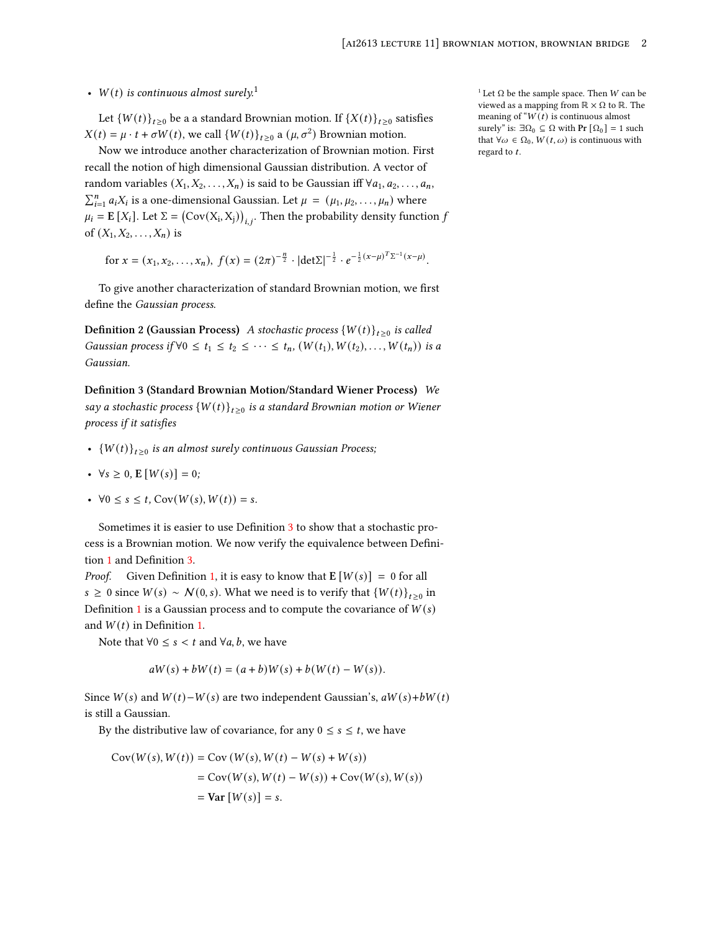## •  $W(t)$  is continuous almost surely.<sup>1</sup>  $\qquad \qquad$   $\qquad \qquad$   $\qquad \qquad$   $\qquad \qquad$   $\qquad \qquad$   $\qquad \qquad$   $\qquad \qquad$   $\qquad \qquad$   $\qquad \qquad$   $\qquad$   $\qquad$   $\qquad$   $\qquad$   $\qquad$   $\qquad$   $\qquad$   $\qquad$   $\qquad$   $\qquad$   $\qquad$   $\qquad$   $\qquad$   $\qquad$   $\qquad$   $\qquad$   $\qquad$

Let  ${W(t)}_{t\ge0}$  be a a standard Brownian motion. If  ${X(t)}_{t\ge0}$  satisfies  $X(t) = \mu \cdot t + \sigma W(t)$ , we call  $\{W(t)\}_{t \ge 0}$  a  $(\mu, \sigma^2)$  Brownian motion.

Now we introduce another characterization of Brownian motion. First recall the notion of high dimensional Gaussian distribution. A vector of random variables  $(X_1, X_2, \ldots, X_n)$  is said to be Gaussian iff  $\forall a_1, a_2, \ldots, a_n$ ,  $\sum_{i=1}^{n} a_i X_i$  is a one-dimensional Gaussian. Let  $\mu = (\mu_1, \mu_2, \dots, \mu_n)$  where  $\mu_i = \mathbf{E}[X_i]$ . Let  $\Sigma = (\text{Cov}(X_i, X_j))_{i,i}$ . Then the probability density function  $f$ of  $(X_1, X_2, \ldots, X_n)$  is

for  $x = (x_1, x_2, \ldots, x_n)$ ,  $f(x) = (2\pi)^{-\frac{n}{2}} \cdot |\text{det}\Sigma|^{-\frac{1}{2}} \cdot e^{-\frac{1}{2}(x-\mu)^T\Sigma^{-1}(x-\mu)}$ .

To give another characterization of standard Brownian motion, we first define the *Gaussian process*.

**Definition 2 (Gaussian Process)** A stochastic process  $\{W(t)\}_{t\geq0}$  is called *Gaussian process if*  $\forall 0 \le t_1 \le t_2 \le \cdots \le t_n$ ,  $(W(t_1), W(t_2), \ldots, W(t_n))$  *is a Gaussian.*

<span id="page-1-0"></span>**Definition 3 (Standard Brownian Motion/Standard Wiener Process)** *We*  $say a stochastic process  $\left\{ W(t) \right\}_{t \geq 0}$  is a standard Brownian motion or Wiener$ *process if it satisfies*

- ${W(t)}_{t\geq0}$  is an almost surely continuous Gaussian Process;
- $\forall s \geq 0, E[W(s)] = 0;$
- $\forall 0 \le s \le t$ ,  $Cov(W(s), W(t)) = s$ .

Sometimes it is easier to use Definition [3](#page-1-0) to show that a stochastic process is a Brownian motion. We now verify the equivalence between Definition [1](#page-0-0) and Definition [3.](#page-1-0)

*Proof.* Given Definition [1,](#page-0-0) it is easy to know that  $E[W(s)] = 0$  for all *s* ≥ 0 since  $W(s) \sim N(0, s)$ . What we need is to verify that  $\{W(t)\}_{t\geq 0}$  in Definition [1](#page-0-0) is a Gaussian process and to compute the covariance of  $W(s)$ and  $W(t)$  in Definition [1](#page-0-0).

Note that  $\forall 0 \leq s < t$  and  $\forall a, b$ , we have

$$
aW(s) + bW(t) = (a+b)W(s) + b(W(t) - W(s)).
$$

Since  $W(s)$  and  $W(t) - W(s)$  are two independent Gaussian's,  $aW(s) + bW(t)$ is still a Gaussian.

By the distributive law of covariance, for any  $0 \le s \le t$ , we have

$$
Cov(W(s), W(t)) = Cov(W(s), W(t) - W(s) + W(s))
$$
  
= Cov(W(s), W(t) - W(s)) + Cov(W(s), W(s))  
= Var[W(s)] = s.

viewed as a mapping from  $\mathbb{R} \times \Omega$  to  $\mathbb{R}$ . The meaning of " $W(t)$  is continuous almost surely" is:  $∃Ω₀ ⊆ Ω$  with **Pr**  $[Ω₀] = 1$  such that  $\forall \omega \in \Omega_0$ ,  $W(t, \omega)$  is continuous with regard to  $t$ .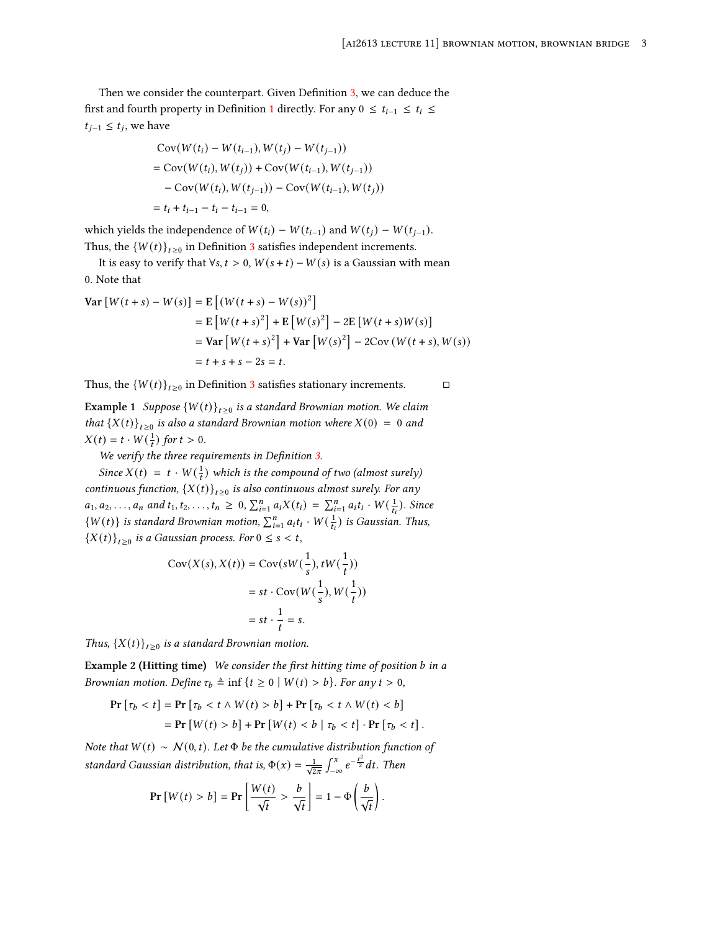Then we consider the counterpart. Given Definition [3,](#page-1-0) we can deduce the first and fourth property in Definition [1](#page-0-0) directly. For any  $0 \le t_{i-1} \le t_i \le$  $t_{j-1}$  ≤  $t_j$ , we have

$$
Cov(W(t_i) - W(t_{i-1}), W(t_j) - W(t_{j-1}))
$$
  
= Cov(W(t\_i), W(t\_j)) + Cov(W(t\_{i-1}), W(t\_{j-1}))  
- Cov(W(t\_i), W(t\_{j-1})) - Cov(W(t\_{i-1}), W(t\_j))  
= t\_i + t\_{i-1} - t\_i - t\_{i-1} = 0,

which yields the independence of  $W(t_i) - W(t_{i-1})$  and  $W(t_j) - W(t_{j-1})$ . Thus, the  ${W(t)}_{t\geq0}$  in Definition [3](#page-1-0) satisfies independent increments.

It is easy to verify that  $\forall s, t > 0$ ,  $W(s + t) - W(s)$  is a Gaussian with mean 0. Note that

Var 
$$
[W(t + s) - W(s)]
$$
 = E  $[(W(t + s) - W(s))^2]$   
\n= E  $[W(t + s)^2]$  + E  $[W(s)^2]$  – 2E  $[W(t + s)W(s)]$   
\n= Var  $[W(t + s)^2]$  + Var  $[W(s)^2]$  – 2Cov  $(W(t + s), W(s))$   
\n= t + s + s - 2s = t.

Thus, the  $\{W(t)\}_{t\geq 0}$  in Definition [3](#page-1-0) satisfies stationary increments.  $\square$ 

**Example 1** Suppose  ${W(t)}_{t\geq0}$  is a standard Brownian motion. We claim *that*  ${X(t)}_{t\geq0}$  *is also a standard Brownian motion where*  $X(0) = 0$  *and*  $X(t) = t \cdot W(\frac{1}{t})$  for  $t > 0$ .

*We verify the three requirements in Definition [3](#page-1-0).*

*Since*  $X(t) = t \cdot W(\frac{1}{t})$  *which is the compound of two (almost surely) continuous function,*  ${X(t)}_{t\geq0}$  *is also continuous almost surely. For any*  $a_1, a_2, \ldots, a_n$  and  $t_1, t_2, \ldots, t_n \geq 0$ ,  $\sum_{i=1}^n a_i X(t_i) = \sum_{i=1}^n a_i t_i \cdot W(\frac{1}{t_i})$ . Since  $\{W(t)\}\$  is standard Brownian motion,  $\sum_{i=1}^{n} a_i t_i \cdot W(\frac{1}{t_i})$  is Gaussian. Thus,  ${X(t)}_{t\geq0}$  is a Gaussian process. For  $0 \leq s < t$ ,

$$
Cov(X(s), X(t)) = Cov(sW(\frac{1}{s}), tW(\frac{1}{t}))
$$
  
= st \cdot Cov(W(\frac{1}{s}), W(\frac{1}{t}))  
= st \cdot \frac{1}{t} = s.

*Thus,*  $\{X(t)\}_{t\geq0}$  *is a standard Brownian motion.* 

<span id="page-2-0"></span>**Example 2 (Hitting time)** *We consider the first hitting time of position in a Brownian motion. Define*  $\tau_b \triangleq \inf \{ t \ge 0 \mid W(t) > b \}$ *. For any*  $t > 0$ *,* 

$$
\begin{aligned} \Pr\left[\tau_b < t\right] &= \Pr\left[\tau_b < t \wedge W(t) > b\right] + \Pr\left[\tau_b < t \wedge W(t) < b\right] \\ &= \Pr\left[W(t) > b\right] + \Pr\left[W(t) < b \mid \tau_b < t\right] \cdot \Pr\left[\tau_b < t\right]. \end{aligned}
$$

*Note that*  $W(t) \sim N(0, t)$ *. Let*  $\Phi$  *be the cumulative distribution function of standard Gaussian distribution, that is,*  $\Phi(x) = \frac{1}{\sqrt{2\pi}}$  $\int_{-\infty}^{x} e^{-\frac{t^2}{2}} dt$ . Then

$$
\Pr\left[W(t) > b\right] = \Pr\left[\frac{W(t)}{\sqrt{t}} > \frac{b}{\sqrt{t}}\right] = 1 - \Phi\left(\frac{b}{\sqrt{t}}\right).
$$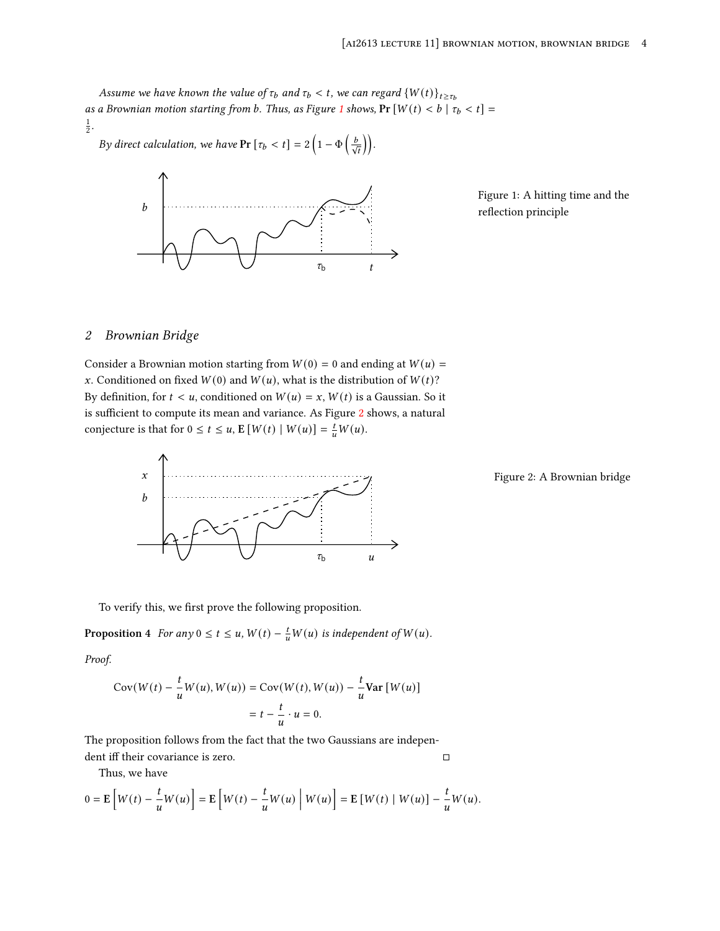*Assume we have known the value of*  $\tau_b$  and  $\tau_b < t$ , we can regard  $\{W(t)\}_{t \geq \tau_b}$ *as a Brownian motion starting from b. Thus, as Figure [1](#page-3-0) shows, Pr*  $[W(t) < b | \tau_b < t]$  = 1 2 *.*

*By direct calculation, we have*  $Pr[\tau_b < t] = 2\left(1 - \Phi\left(\frac{b}{\sqrt{t}}\right)\right)$ .



<span id="page-3-0"></span>Figure 1: A hitting time and the reflection principle

## *2 Brownian Bridge*

Consider a Brownian motion starting from  $W(0) = 0$  and ending at  $W(u) =$ x. Conditioned on fixed  $W(0)$  and  $W(u)$ , what is the distribution of  $W(t)$ ? By definition, for  $t < u$ , conditioned on  $W(u) = x$ ,  $W(t)$  is a Gaussian. So it is sufficient to compute its mean and variance. As Figure [2](#page-3-1) shows, a natural conjecture is that for  $0 \le t \le u$ ,  $\mathbb{E}[W(t) | W(u)] = \frac{t}{u}W(u)$ .



<span id="page-3-1"></span>Figure 2: A Brownian bridge

To verify this, we first prove the following proposition.

**Proposition 4** *For any*  $0 \le t \le u$ ,  $W(t) - \frac{t}{u}W(u)$  *is independent of*  $W(u)$ *.* 

*Proof.*

$$
Cov(W(t) - \frac{t}{u}W(u), W(u)) = Cov(W(t), W(u)) - \frac{t}{u}Var[W(u)]
$$

$$
= t - \frac{t}{u} \cdot u = 0.
$$

The proposition follows from the fact that the two Gaussians are indepen-

dent iff their covariance is zero.  $□$ 

Thus, we have

$$
0 = \mathbb{E}\left[W(t) - \frac{t}{u}W(u)\right] = \mathbb{E}\left[W(t) - \frac{t}{u}W(u)\middle| W(u)\right] = \mathbb{E}\left[W(t) \middle| W(u)\right] - \frac{t}{u}W(u).
$$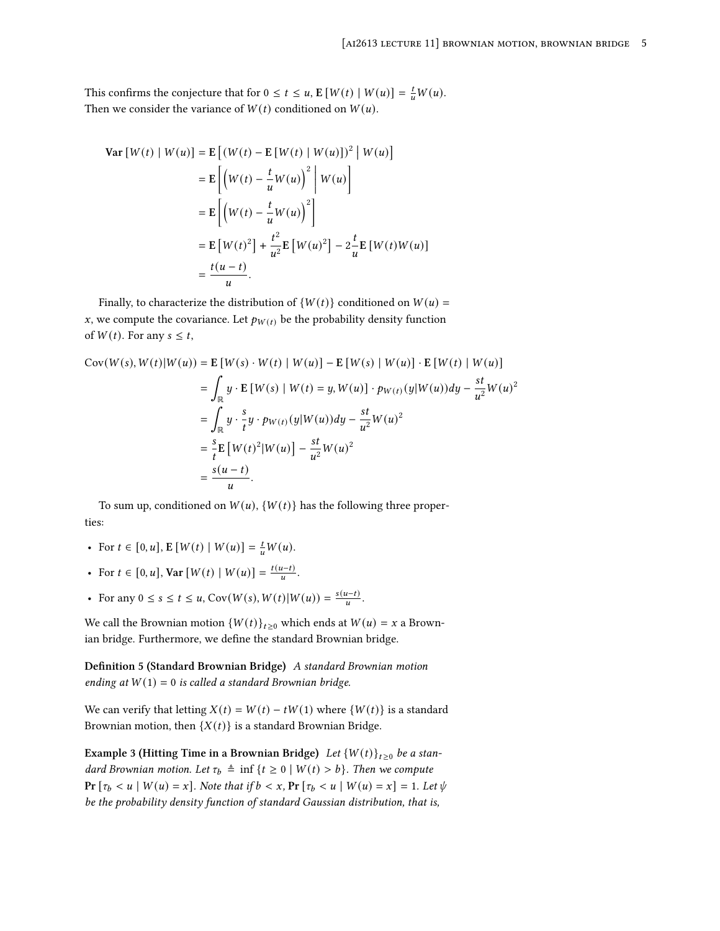This confirms the conjecture that for  $0 \le t \le u$ ,  $\mathbb{E}[W(t) | W(u)] = \frac{t}{u}W(u)$ . Then we consider the variance of  $W(t)$  conditioned on  $W(u)$ .

$$
\begin{aligned} \mathbf{Var} \left[ W(t) \mid W(u) \right] &= \mathbf{E} \left[ (W(t) - \mathbf{E} \left[ W(t) \mid W(u) \right])^2 \mid W(u) \right] \\ &= \mathbf{E} \left[ \left( W(t) - \frac{t}{u} W(u) \right)^2 \mid W(u) \right] \\ &= \mathbf{E} \left[ \left( W(t) - \frac{t}{u} W(u) \right)^2 \right] \\ &= \mathbf{E} \left[ W(t)^2 \right] + \frac{t^2}{u^2} \mathbf{E} \left[ W(u)^2 \right] - 2 \frac{t}{u} \mathbf{E} \left[ W(t) W(u) \right] \\ &= \frac{t(u - t)}{u} .\end{aligned}
$$

Finally, to characterize the distribution of  $\{W(t)\}\$  conditioned on  $W(u) =$ x, we compute the covariance. Let  $p_{W(t)}$  be the probability density function of  $W(t)$ . For any  $s \leq t$ ,

$$
Cov(W(s), W(t)|W(u)) = E[W(s) \cdot W(t) | W(u)] - E[W(s) | W(u)] \cdot E[W(t) | W(u)]
$$
  
\n
$$
= \int_{\mathbb{R}} y \cdot E[W(s) | W(t) = y, W(u)] \cdot p_{W(t)}(y|W(u))dy - \frac{st}{u^2}W(u)^2
$$
  
\n
$$
= \int_{\mathbb{R}} y \cdot \frac{s}{t} y \cdot p_{W(t)}(y|W(u))dy - \frac{st}{u^2}W(u)^2
$$
  
\n
$$
= \frac{s}{t} E[W(t)^2|W(u)] - \frac{st}{u^2}W(u)^2
$$
  
\n
$$
= \frac{s(u-t)}{u}.
$$

To sum up, conditioned on  $W(u)$ ,  $\{W(t)\}\$  has the following three properties:

- For  $t \in [0, u]$ ,  $E[W(t) | W(u)] = \frac{t}{u}W(u)$ .
- For  $t \in [0, u]$ , Var  $[W(t) | W(u)] = \frac{t(u-t)}{u}$ .
- For any  $0 \le s \le t \le u$ , Cov $(W(s), W(t) | W(u)) = \frac{s(u-t)}{u}$ .

We call the Brownian motion  ${W(t)}_{t\geq0}$  which ends at  $W(u) = x$  a Brownian bridge. Furthermore, we define the standard Brownian bridge.

**Definition 5 (Standard Brownian Bridge)** *A standard Brownian motion ending at*  $W(1) = 0$  *is called a standard Brownian bridge.* 

We can verify that letting  $X(t) = W(t) - tW(1)$  where  $\{W(t)\}\$ is a standard Brownian motion, then  $\{X(t)\}\$ is a standard Brownian Bridge.

**Example 3 (Hitting Time in a Brownian Bridge)** *Let*  $\{W(t)\}_{t\geq0}$  *be a standard Brownian motion. Let*  $\tau_b \triangleq \inf \{ t \ge 0 \mid W(t) > b \}$ *. Then we compute* **Pr**  $[\tau_b < u \mid W(u) = x]$ *. Note that if*  $b < x$ *,* **Pr**  $[\tau_b < u \mid W(u) = x] = 1$ *. Let*  $\psi$ *be the probability density function of standard Gaussian distribution, that is,*